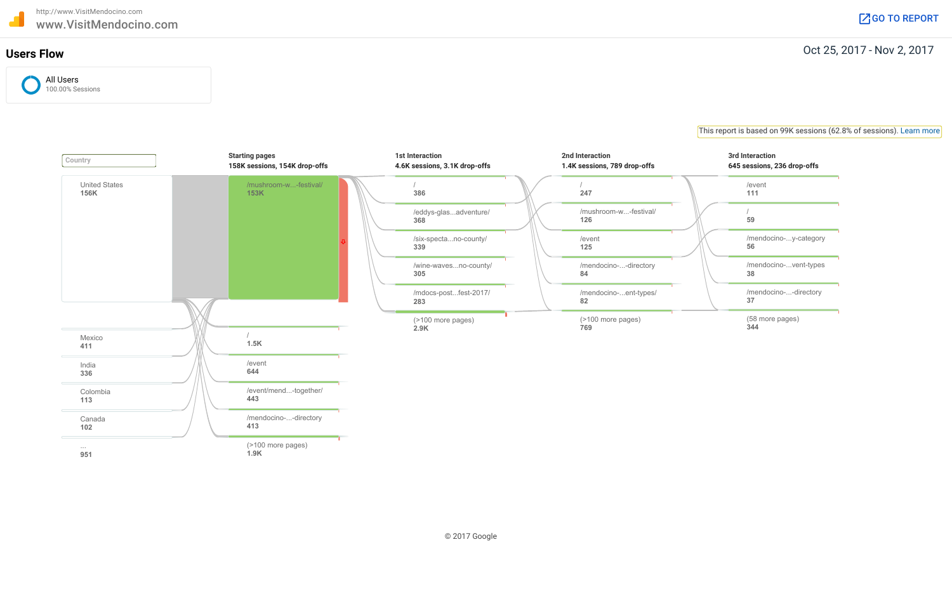# Oct 25, 2017 - Nov 2, 2017 **Users Flow**

## This report is based on 99K sessions (62.8% of sessions). Learn more



| 040 SESSIONS, 200 UIOP-011S |
|-----------------------------|
| /event<br>111               |
| 59                          |
| /mendocino-y-category<br>56 |
| /mendocino-vent-types<br>38 |
| /mendocino--directory<br>37 |
| (58 more pages)<br>344      |

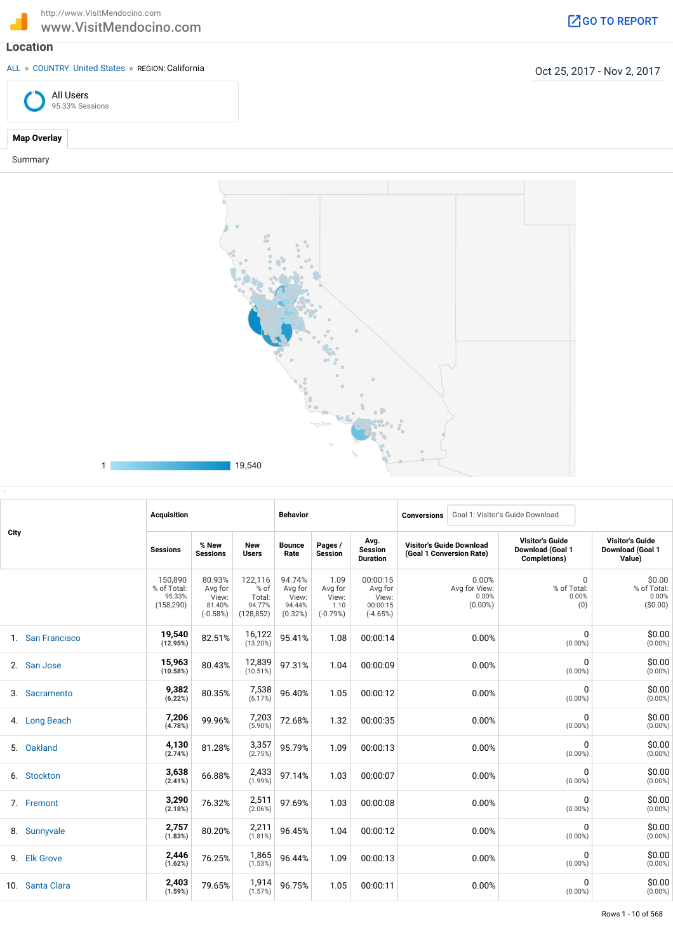http://www.VisitMendocino.com http://www.VisitMendocino.com<br>
WWW.VisitMendocino.com Google Communication of the Communication of the Communication of the Communication of the Communication of the Communication of the Communication of the Communication

## **Location**

ALL » COUNTRY: United States » REGION: California **California** Country of the States (Alifornia Country of the States of the States of the States of the States of the States of the States of the States of the States of the





Summary



|      |                  | <b>Acquisition</b>                             |                                                    |                                                   | <b>Behavior</b>                                 |                                                |                                                        | <b>Conversions</b>                                          |                                               | Goal 1: Visitor's Guide Download                           |                                                      |
|------|------------------|------------------------------------------------|----------------------------------------------------|---------------------------------------------------|-------------------------------------------------|------------------------------------------------|--------------------------------------------------------|-------------------------------------------------------------|-----------------------------------------------|------------------------------------------------------------|------------------------------------------------------|
| City |                  | <b>Sessions</b>                                | % New<br><b>Sessions</b>                           | <b>New</b><br><b>Users</b>                        | <b>Bounce</b><br>Rate                           | Pages /<br><b>Session</b>                      | Avg.<br><b>Session</b><br><b>Duration</b>              | <b>Visitor's Guide Download</b><br>(Goal 1 Conversion Rate) |                                               | <b>Visitor's Guide</b><br>Download (Goal 1<br>Completions) | <b>Visitor's Guide</b><br>Download (Goal 1<br>Value) |
|      |                  | 150,890<br>% of Total:<br>95.33%<br>(158, 290) | 80.93%<br>Avg for<br>View:<br>81.40%<br>$(-0.58%)$ | 122,116<br>% of<br>Total:<br>94.77%<br>(128, 852) | 94.74%<br>Avg for<br>View:<br>94.44%<br>(0.32%) | 1.09<br>Avg for<br>View:<br>1.10<br>$(-0.79%)$ | 00:00:15<br>Avg for<br>View:<br>00:00:15<br>$(-4.65%)$ |                                                             | 0.00%<br>Avg for View:<br>0.00%<br>$(0.00\%)$ | $\Omega$<br>% of Total:<br>0.00%<br>(0)                    | \$0.00<br>% of Total:<br>0.00%<br>( \$0.00)          |
|      | 1. San Francisco | 19,540<br>(12.95%)                             | 82.51%                                             | 16,122<br>$(13.20\%)$                             | 95.41%                                          | 1.08                                           | 00:00:14                                               |                                                             | 0.00%                                         | 0<br>$(0.00\%)$                                            | \$0.00<br>$(0.00\%)$                                 |
|      | 2. San Jose      | 15,963<br>(10.58%)                             | 80.43%                                             | 12,839<br>(10.51%)                                | 97.31%                                          | 1.04                                           | 00:00:09                                               |                                                             | 0.00%                                         | 0<br>$(0.00\%)$                                            | \$0.00<br>$(0.00\%)$                                 |
|      | 3. Sacramento    | 9,382<br>(6.22%)                               | 80.35%                                             | 7,538<br>(6.17%)                                  | 96.40%                                          | 1.05                                           | 00:00:12                                               |                                                             | 0.00%                                         | 0<br>$(0.00\%)$                                            | \$0.00<br>$(0.00\%)$                                 |
|      | 4. Long Beach    | 7,206<br>(4.78%)                               | 99.96%                                             | 7,203<br>$(5.90\%)$                               | 72.68%                                          | 1.32                                           | 00:00:35                                               |                                                             | 0.00%                                         | 0<br>$(0.00\%)$                                            | \$0.00<br>$(0.00\%)$                                 |
|      | 5. Oakland       | 4,130<br>(2.74%)                               | 81.28%                                             | 3,357<br>(2.75%)                                  | 95.79%                                          | 1.09                                           | 00:00:13                                               |                                                             | 0.00%                                         | 0<br>$(0.00\%)$                                            | \$0.00<br>$(0.00\%)$                                 |
|      | 6. Stockton      | 3,638<br>(2.41%)                               | 66.88%                                             | 2,433<br>(1.99%)                                  | 97.14%                                          | 1.03                                           | 00:00:07                                               |                                                             | 0.00%                                         | 0<br>$(0.00\%)$                                            | \$0.00<br>$(0.00\%)$                                 |
|      | 7. Fremont       | 3,290<br>(2.18%)                               | 76.32%                                             | 2,511<br>(2.06%)                                  | 97.69%                                          | 1.03                                           | 00:00:08                                               |                                                             | 0.00%                                         | 0<br>$(0.00\%)$                                            | \$0.00<br>$(0.00\%)$                                 |
|      | 8. Sunnyvale     | 2,757<br>(1.83%)                               | 80.20%                                             | 2,211<br>(1.81%)                                  | 96.45%                                          | 1.04                                           | 00:00:12                                               |                                                             | 0.00%                                         | 0<br>$(0.00\%)$                                            | \$0.00<br>$(0.00\%)$                                 |
|      | 9. Elk Grove     | 2,446<br>(1.62%)                               | 76.25%                                             | 1,865<br>(1.53%)                                  | 96.44%                                          | 1.09                                           | 00:00:13                                               |                                                             | 0.00%                                         | 0<br>$(0.00\%)$                                            | \$0.00<br>$(0.00\%)$                                 |
|      | 10. Santa Clara  | 2,403<br>(1.59%)                               | 79.65%                                             | 1,914<br>(1.57%)                                  | 96.75%                                          | 1.05                                           | 00:00:11                                               |                                                             | 0.00%                                         | 0<br>$(0.00\%)$                                            | \$0.00<br>$(0.00\%)$                                 |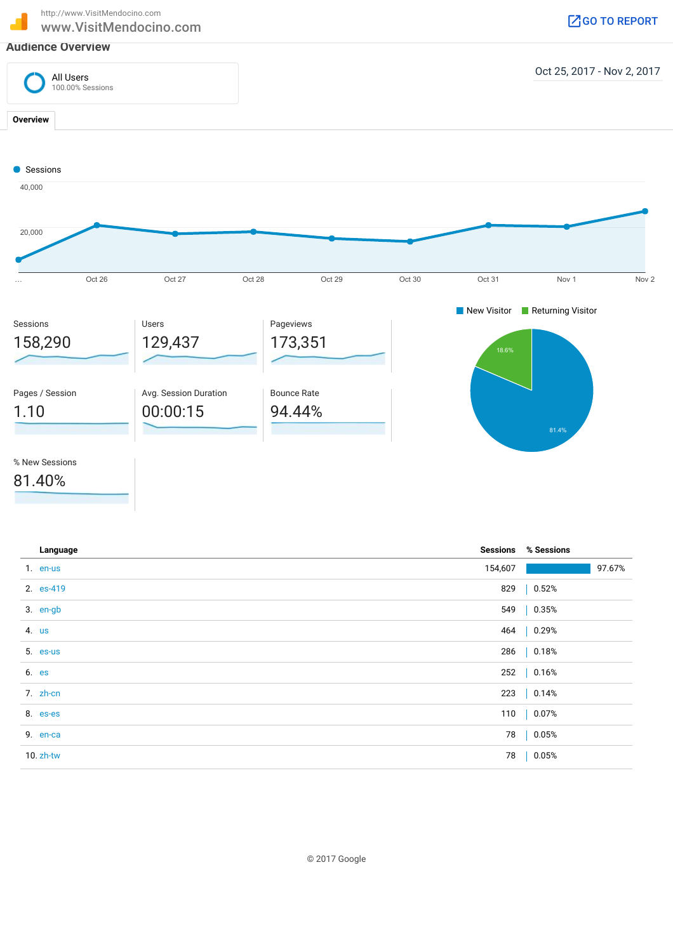http://www.VisitMendocino.com



% New Sessions

81.40%

| Language     |         | <b>Sessions % Sessions</b> |        |
|--------------|---------|----------------------------|--------|
| 1. en-us     | 154,607 |                            | 97.67% |
| 2. es-419    |         | 829   0.52%                |        |
| 3. en-gb     |         | 549   0.35%                |        |
| 4. us        |         | 464   0.29%                |        |
| 5. es-us     |         | 286   0.18%                |        |
| 6. es        |         | 252   0.16%                |        |
| 7. zh-cn     |         | 223   0.14%                |        |
| 8. es-es     |         | 110   0.07%                |        |
| 9. en-ca     |         | 78   0.05%                 |        |
| $10. zh$ -tw | 78      | 0.05%                      |        |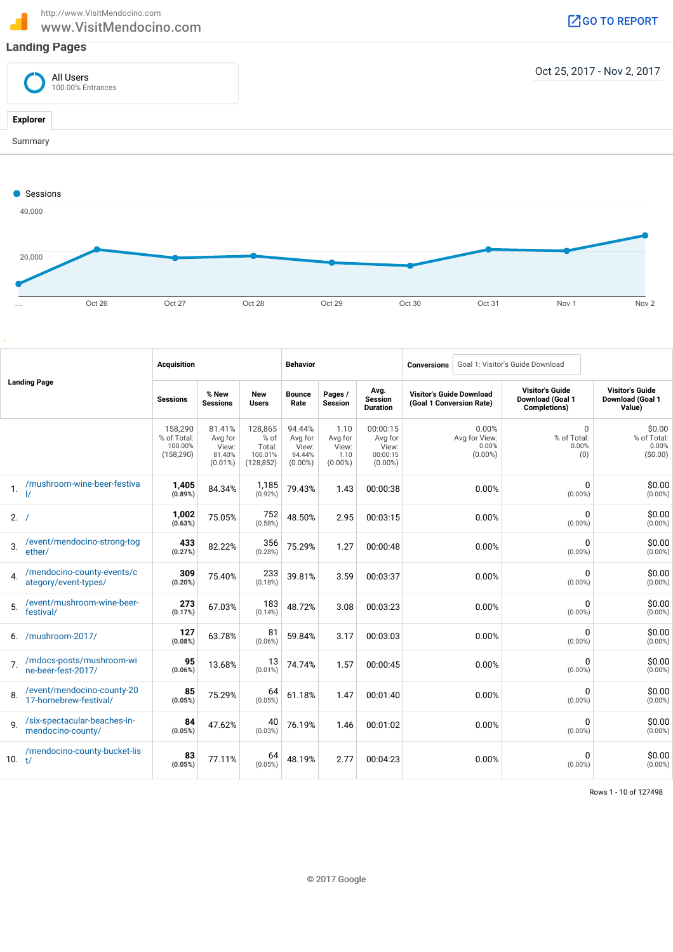http://www.VisitMendocino.com http://www.VisitMendocino.com<br>
WWW.VisitMendocino.com Google Communication of the Communication of the Communication of the Communication of the Communication of the Communication of the Communication of the Communication



| <b>Landing Page</b> |                                                     | <b>Acquisition</b>                              |                                                    |                                                    | <b>Behavior</b>                                    |                                                |                                                        | Goal 1: Visitor's Guide Download<br><b>Conversions</b>      |       |                                                                   |                                                      |
|---------------------|-----------------------------------------------------|-------------------------------------------------|----------------------------------------------------|----------------------------------------------------|----------------------------------------------------|------------------------------------------------|--------------------------------------------------------|-------------------------------------------------------------|-------|-------------------------------------------------------------------|------------------------------------------------------|
|                     |                                                     | <b>Sessions</b>                                 | % New<br><b>Sessions</b>                           | <b>New</b><br>Users                                | <b>Bounce</b><br>Rate                              | Pages /<br><b>Session</b>                      | Avg.<br><b>Session</b><br><b>Duration</b>              | <b>Visitor's Guide Download</b><br>(Goal 1 Conversion Rate) |       | <b>Visitor's Guide</b><br><b>Download (Goal 1</b><br>Completions) | <b>Visitor's Guide</b><br>Download (Goal 1<br>Value) |
|                     |                                                     | 158,290<br>% of Total:<br>100.00%<br>(158, 290) | 81.41%<br>Avg for<br>View:<br>81.40%<br>$(0.01\%)$ | 128,865<br>% of<br>Total:<br>100.01%<br>(128, 852) | 94.44%<br>Avg for<br>View:<br>94.44%<br>$(0.00\%)$ | 1.10<br>Avg for<br>View:<br>1.10<br>$(0.00\%)$ | 00:00:15<br>Avg for<br>View:<br>00:00:15<br>$(0.00\%)$ | 0.00%<br>Avg for View:<br>0.00%<br>$(0.00\%)$               |       | 0<br>% of Total:<br>0.00%<br>(0)                                  | \$0.00<br>% of Total:<br>0.00%<br>( \$0.00)          |
| 1.                  | /mushroom-wine-beer-festiva                         | 1,405<br>(0.89%)                                | 84.34%                                             | 1,185<br>(0.92%)                                   | 79.43%                                             | 1.43                                           | 00:00:38                                               |                                                             | 0.00% | 0<br>$(0.00\%)$                                                   | \$0.00<br>$(0.00\%)$                                 |
| 2. /                |                                                     | 1,002<br>(0.63%)                                | 75.05%                                             | 752<br>(0.58%)                                     | 48.50%                                             | 2.95                                           | 00:03:15                                               |                                                             | 0.00% | 0<br>$(0.00\%)$                                                   | \$0.00<br>$(0.00\%)$                                 |
| 3.                  | /event/mendocino-strong-tog<br>ether/               | 433<br>(0.27%)                                  | 82.22%                                             | 356<br>(0.28%)                                     | 75.29%                                             | 1.27                                           | 00:00:48                                               |                                                             | 0.00% | 0<br>$(0.00\%)$                                                   | \$0.00<br>$(0.00\%)$                                 |
| 4.                  | /mendocino-county-events/c<br>ategory/event-types/  | 309<br>$(0.20\%)$                               | 75.40%                                             | 233<br>(0.18%)                                     | 39.81%                                             | 3.59                                           | 00:03:37                                               |                                                             | 0.00% | 0<br>$(0.00\%)$                                                   | \$0.00<br>$(0.00\%)$                                 |
| 5.                  | /event/mushroom-wine-beer-<br>festival/             | 273<br>(0.17%)                                  | 67.03%                                             | 183<br>(0.14%)                                     | 48.72%                                             | 3.08                                           | 00:03:23                                               |                                                             | 0.00% | 0<br>$(0.00\%)$                                                   | \$0.00<br>$(0.00\%)$                                 |
| 6.                  | /mushroom-2017/                                     | 127<br>(0.08%)                                  | 63.78%                                             | 81<br>$(0.06\%)$                                   | 59.84%                                             | 3.17                                           | 00:03:03                                               |                                                             | 0.00% | 0<br>$(0.00\%)$                                                   | \$0.00<br>$(0.00\%)$                                 |
| 7.                  | /mdocs-posts/mushroom-wi<br>ne-beer-fest-2017/      | 95<br>(0.06%)                                   | 13.68%                                             | 13<br>$(0.01\%)$                                   | 74.74%                                             | 1.57                                           | 00:00:45                                               |                                                             | 0.00% | 0<br>$(0.00\%)$                                                   | \$0.00<br>$(0.00\%)$                                 |
| 8.                  | /event/mendocino-county-20<br>17-homebrew-festival/ | 85<br>(0.05%)                                   | 75.29%                                             | 64<br>(0.05%)                                      | 61.18%                                             | 1.47                                           | 00:01:40                                               |                                                             | 0.00% | 0<br>$(0.00\%)$                                                   | \$0.00<br>$(0.00\%)$                                 |
| 9                   | /six-spectacular-beaches-in-<br>mendocino-county/   | 84<br>(0.05%)                                   | 47.62%                                             | 40<br>(0.03%)                                      | 76.19%                                             | 1.46                                           | 00:01:02                                               |                                                             | 0.00% | 0<br>$(0.00\%)$                                                   | \$0.00<br>$(0.00\%)$                                 |
| 10. $t/$            | /mendocino-county-bucket-lis                        | 83<br>(0.05%)                                   | 77.11%                                             | 64<br>(0.05%)                                      | 48.19%                                             | 2.77                                           | 00:04:23                                               |                                                             | 0.00% | 0<br>$(0.00\%)$                                                   | \$0.00<br>$(0.00\%)$                                 |

Rows 1 - 10 of 127498